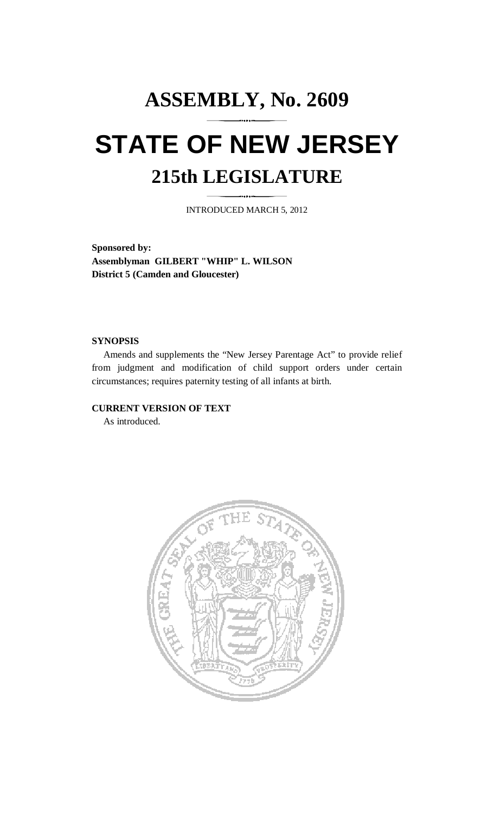# **ASSEMBLY, No. 2609 STATE OF NEW JERSEY 215th LEGISLATURE**

INTRODUCED MARCH 5, 2012

**Sponsored by: Assemblyman GILBERT "WHIP" L. WILSON District 5 (Camden and Gloucester)** 

#### **SYNOPSIS**

 Amends and supplements the "New Jersey Parentage Act" to provide relief from judgment and modification of child support orders under certain circumstances; requires paternity testing of all infants at birth.

### **CURRENT VERSION OF TEXT**

As introduced.

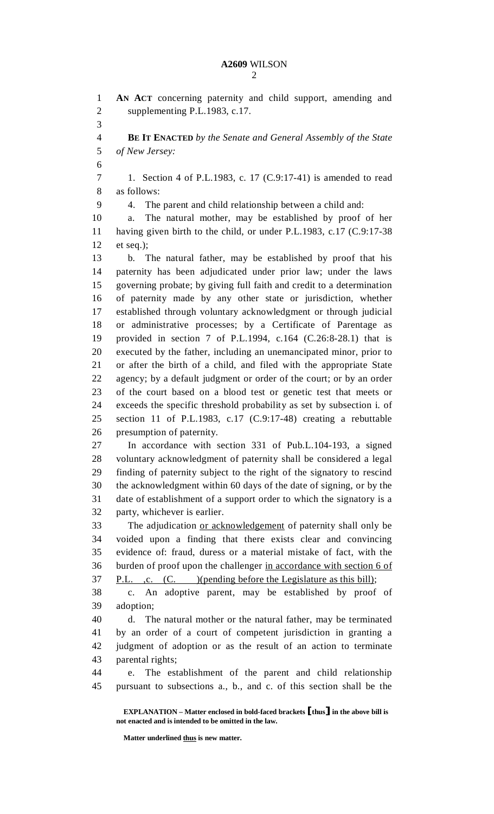1 **AN ACT** concerning paternity and child support, amending and 2 supplementing P.L.1983, c.17. 3 4 **BE IT ENACTED** *by the Senate and General Assembly of the State*  5 *of New Jersey:* 6 7 1. Section 4 of P.L.1983, c. 17 (C.9:17-41) is amended to read 8 as follows: 9 4. The parent and child relationship between a child and: 10 a. The natural mother, may be established by proof of her 11 having given birth to the child, or under P.L.1983, c.17 (C.9:17-38 12 et seq.); 13 b. The natural father, may be established by proof that his 14 paternity has been adjudicated under prior law; under the laws 15 governing probate; by giving full faith and credit to a determination 16 of paternity made by any other state or jurisdiction, whether 17 established through voluntary acknowledgment or through judicial 18 or administrative processes; by a Certificate of Parentage as 19 provided in section 7 of P.L.1994, c.164 (C.26:8-28.1) that is 20 executed by the father, including an unemancipated minor, prior to 21 or after the birth of a child, and filed with the appropriate State 22 agency; by a default judgment or order of the court; or by an order 23 of the court based on a blood test or genetic test that meets or 24 exceeds the specific threshold probability as set by subsection i. of 25 section 11 of P.L.1983, c.17 (C.9:17-48) creating a rebuttable 26 presumption of paternity. 27 In accordance with section 331 of Pub.L.104-193, a signed 28 voluntary acknowledgment of paternity shall be considered a legal 29 finding of paternity subject to the right of the signatory to rescind 30 the acknowledgment within 60 days of the date of signing, or by the 31 date of establishment of a support order to which the signatory is a 32 party, whichever is earlier. 33 The adjudication or acknowledgement of paternity shall only be 34 voided upon a finding that there exists clear and convincing 35 evidence of: fraud, duress or a material mistake of fact, with the 36 burden of proof upon the challenger in accordance with section 6 of 37 P.L. ,c. (C. )(pending before the Legislature as this bill); 38 c. An adoptive parent, may be established by proof of 39 adoption; 40 d. The natural mother or the natural father, may be terminated 41 by an order of a court of competent jurisdiction in granting a 42 judgment of adoption or as the result of an action to terminate 43 parental rights; 44 e. The establishment of the parent and child relationship 45 pursuant to subsections a., b., and c. of this section shall be the

 **EXPLANATION – Matter enclosed in bold-faced brackets** [**thus**] **in the above bill is not enacted and is intended to be omitted in the law.** 

**Matter underlined thus is new matter.**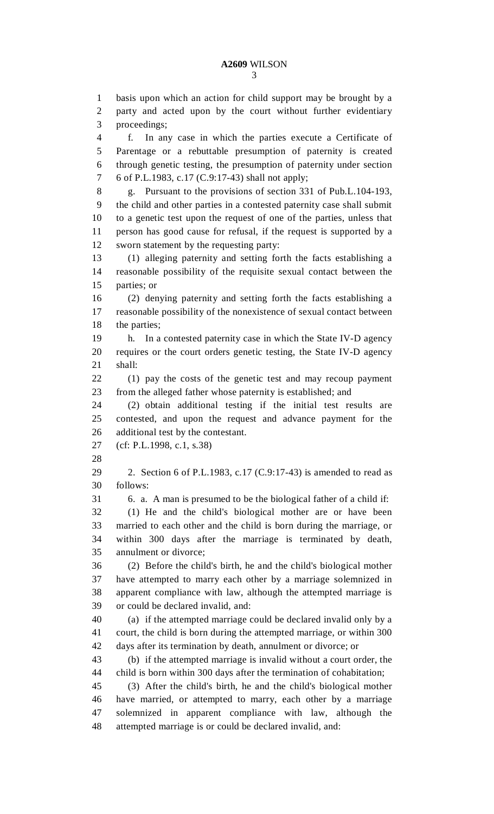1 basis upon which an action for child support may be brought by a 2 party and acted upon by the court without further evidentiary 3 proceedings;

4 f. In any case in which the parties execute a Certificate of 5 Parentage or a rebuttable presumption of paternity is created 6 through genetic testing, the presumption of paternity under section 7 6 of P.L.1983, c.17 (C.9:17-43) shall not apply;

8 g. Pursuant to the provisions of section 331 of Pub.L.104-193, 9 the child and other parties in a contested paternity case shall submit 10 to a genetic test upon the request of one of the parties, unless that 11 person has good cause for refusal, if the request is supported by a 12 sworn statement by the requesting party:

13 (1) alleging paternity and setting forth the facts establishing a 14 reasonable possibility of the requisite sexual contact between the 15 parties; or

16 (2) denying paternity and setting forth the facts establishing a 17 reasonable possibility of the nonexistence of sexual contact between 18 the parties;

19 h. In a contested paternity case in which the State IV-D agency 20 requires or the court orders genetic testing, the State IV-D agency 21 shall:

22 (1) pay the costs of the genetic test and may recoup payment 23 from the alleged father whose paternity is established; and

24 (2) obtain additional testing if the initial test results are 25 contested, and upon the request and advance payment for the 26 additional test by the contestant.

- 27 (cf: P.L.1998, c.1, s.38)
- 28

29 2. Section 6 of P.L.1983, c.17 (C.9:17-43) is amended to read as 30 follows:

31 6. a. A man is presumed to be the biological father of a child if:

32 (1) He and the child's biological mother are or have been 33 married to each other and the child is born during the marriage, or 34 within 300 days after the marriage is terminated by death, 35 annulment or divorce;

36 (2) Before the child's birth, he and the child's biological mother 37 have attempted to marry each other by a marriage solemnized in 38 apparent compliance with law, although the attempted marriage is 39 or could be declared invalid, and:

40 (a) if the attempted marriage could be declared invalid only by a 41 court, the child is born during the attempted marriage, or within 300 42 days after its termination by death, annulment or divorce; or

43 (b) if the attempted marriage is invalid without a court order, the 44 child is born within 300 days after the termination of cohabitation;

45 (3) After the child's birth, he and the child's biological mother 46 have married, or attempted to marry, each other by a marriage 47 solemnized in apparent compliance with law, although the 48 attempted marriage is or could be declared invalid, and: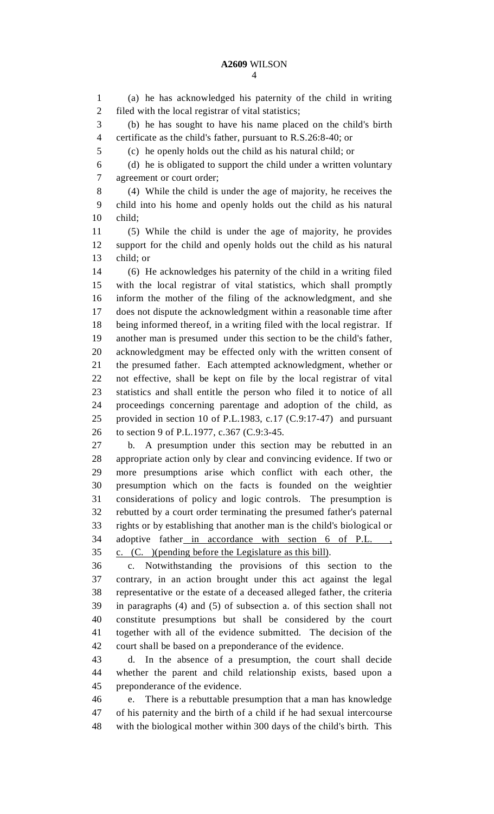4

1 (a) he has acknowledged his paternity of the child in writing 2 filed with the local registrar of vital statistics;

3 (b) he has sought to have his name placed on the child's birth 4 certificate as the child's father, pursuant to R.S.26:8-40; or

5 (c) he openly holds out the child as his natural child; or

6 (d) he is obligated to support the child under a written voluntary 7 agreement or court order;

8 (4) While the child is under the age of majority, he receives the 9 child into his home and openly holds out the child as his natural 10 child;

11 (5) While the child is under the age of majority, he provides 12 support for the child and openly holds out the child as his natural 13 child; or

14 (6) He acknowledges his paternity of the child in a writing filed 15 with the local registrar of vital statistics, which shall promptly 16 inform the mother of the filing of the acknowledgment, and she 17 does not dispute the acknowledgment within a reasonable time after 18 being informed thereof, in a writing filed with the local registrar. If 19 another man is presumed under this section to be the child's father, 20 acknowledgment may be effected only with the written consent of 21 the presumed father. Each attempted acknowledgment, whether or 22 not effective, shall be kept on file by the local registrar of vital 23 statistics and shall entitle the person who filed it to notice of all 24 proceedings concerning parentage and adoption of the child, as 25 provided in section 10 of P.L.1983, c.17 (C.9:17-47) and pursuant 26 to section 9 of P.L.1977, c.367 (C.9:3-45.

27 b. A presumption under this section may be rebutted in an 28 appropriate action only by clear and convincing evidence. If two or 29 more presumptions arise which conflict with each other, the 30 presumption which on the facts is founded on the weightier 31 considerations of policy and logic controls. The presumption is 32 rebutted by a court order terminating the presumed father's paternal 33 rights or by establishing that another man is the child's biological or 34 adoptive father in accordance with section 6 of P.L., 35 c. (C. )(pending before the Legislature as this bill).

36 c. Notwithstanding the provisions of this section to the 37 contrary, in an action brought under this act against the legal 38 representative or the estate of a deceased alleged father, the criteria 39 in paragraphs (4) and (5) of subsection a. of this section shall not 40 constitute presumptions but shall be considered by the court 41 together with all of the evidence submitted. The decision of the 42 court shall be based on a preponderance of the evidence.

43 d. In the absence of a presumption, the court shall decide 44 whether the parent and child relationship exists, based upon a 45 preponderance of the evidence.

46 e. There is a rebuttable presumption that a man has knowledge 47 of his paternity and the birth of a child if he had sexual intercourse 48 with the biological mother within 300 days of the child's birth. This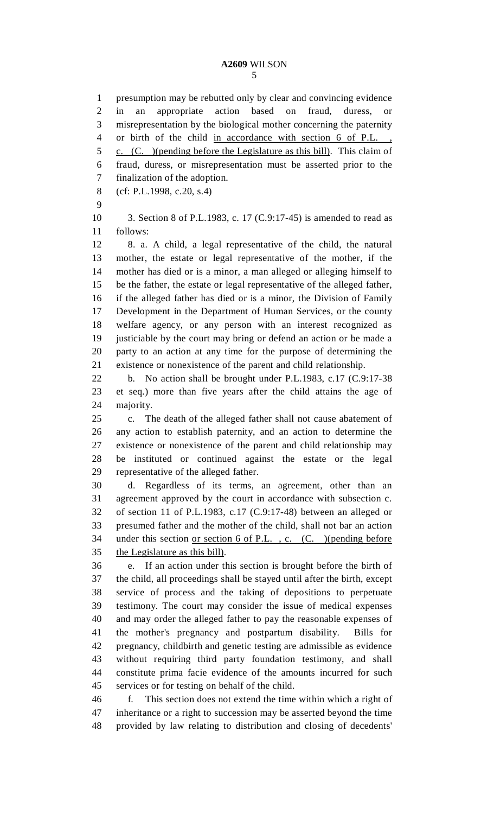5

1 presumption may be rebutted only by clear and convincing evidence 2 in an appropriate action based on fraud, duress, or 3 misrepresentation by the biological mother concerning the paternity 4 or birth of the child in accordance with section 6 of P.L. , 5 c. (C. )(pending before the Legislature as this bill). This claim of 6 fraud, duress, or misrepresentation must be asserted prior to the 7 finalization of the adoption. 8 (cf: P.L.1998, c.20, s.4) 9 10 3. Section 8 of P.L.1983, c. 17 (C.9:17-45) is amended to read as 11 follows: 12 8. a. A child, a legal representative of the child, the natural 13 mother, the estate or legal representative of the mother, if the 14 mother has died or is a minor, a man alleged or alleging himself to 15 be the father, the estate or legal representative of the alleged father, 16 if the alleged father has died or is a minor, the Division of Family 17 Development in the Department of Human Services, or the county 18 welfare agency, or any person with an interest recognized as 19 justiciable by the court may bring or defend an action or be made a 20 party to an action at any time for the purpose of determining the 21 existence or nonexistence of the parent and child relationship. 22 b. No action shall be brought under P.L.1983, c.17 (C.9:17-38 23 et seq.) more than five years after the child attains the age of 24 majority. 25 c. The death of the alleged father shall not cause abatement of 26 any action to establish paternity, and an action to determine the 27 existence or nonexistence of the parent and child relationship may 28 be instituted or continued against the estate or the legal 29 representative of the alleged father. 30 d. Regardless of its terms, an agreement, other than an 31 agreement approved by the court in accordance with subsection c. 32 of section 11 of P.L.1983, c.17 (C.9:17-48) between an alleged or 33 presumed father and the mother of the child, shall not bar an action 34 under this section <u>or section 6 of P.L., c. (C. )(pending before</u> 35 the Legislature as this bill). 36 e. If an action under this section is brought before the birth of 37 the child, all proceedings shall be stayed until after the birth, except 38 service of process and the taking of depositions to perpetuate 39 testimony. The court may consider the issue of medical expenses 40 and may order the alleged father to pay the reasonable expenses of 41 the mother's pregnancy and postpartum disability. Bills for 42 pregnancy, childbirth and genetic testing are admissible as evidence 43 without requiring third party foundation testimony, and shall 44 constitute prima facie evidence of the amounts incurred for such 45 services or for testing on behalf of the child. 46 f. This section does not extend the time within which a right of 47 inheritance or a right to succession may be asserted beyond the time 48 provided by law relating to distribution and closing of decedents'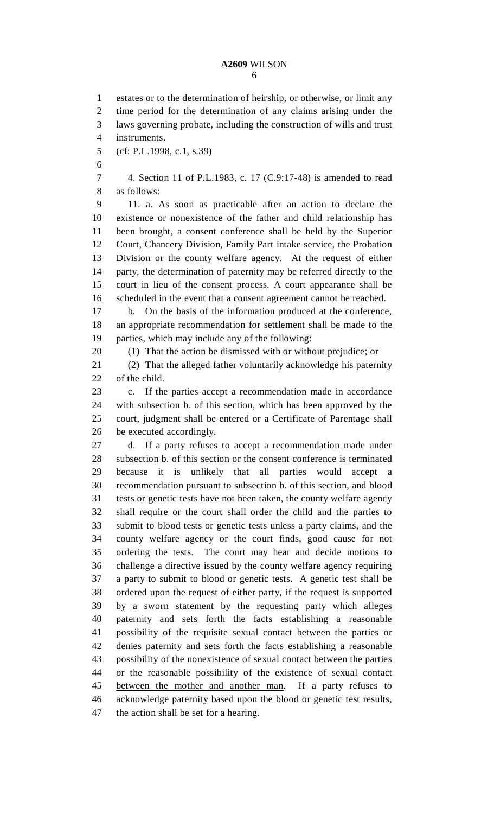1 estates or to the determination of heirship, or otherwise, or limit any 2 time period for the determination of any claims arising under the 3 laws governing probate, including the construction of wills and trust 4 instruments. 5 (cf: P.L.1998, c.1, s.39) 6 7 4. Section 11 of P.L.1983, c. 17 (C.9:17-48) is amended to read 8 as follows: 9 11. a. As soon as practicable after an action to declare the 10 existence or nonexistence of the father and child relationship has 11 been brought, a consent conference shall be held by the Superior 12 Court, Chancery Division, Family Part intake service, the Probation 13 Division or the county welfare agency. At the request of either 14 party, the determination of paternity may be referred directly to the 15 court in lieu of the consent process. A court appearance shall be 16 scheduled in the event that a consent agreement cannot be reached. 17 b. On the basis of the information produced at the conference, 18 an appropriate recommendation for settlement shall be made to the 19 parties, which may include any of the following: 20 (1) That the action be dismissed with or without prejudice; or 21 (2) That the alleged father voluntarily acknowledge his paternity 22 of the child. 23 c. If the parties accept a recommendation made in accordance 24 with subsection b. of this section, which has been approved by the 25 court, judgment shall be entered or a Certificate of Parentage shall 26 be executed accordingly. 27 d. If a party refuses to accept a recommendation made under 28 subsection b. of this section or the consent conference is terminated 29 because it is unlikely that all parties would accept a 30 recommendation pursuant to subsection b. of this section, and blood 31 tests or genetic tests have not been taken, the county welfare agency 32 shall require or the court shall order the child and the parties to 33 submit to blood tests or genetic tests unless a party claims, and the 34 county welfare agency or the court finds, good cause for not 35 ordering the tests. The court may hear and decide motions to 36 challenge a directive issued by the county welfare agency requiring 37 a party to submit to blood or genetic tests. A genetic test shall be 38 ordered upon the request of either party, if the request is supported 39 by a sworn statement by the requesting party which alleges 40 paternity and sets forth the facts establishing a reasonable 41 possibility of the requisite sexual contact between the parties or 42 denies paternity and sets forth the facts establishing a reasonable 43 possibility of the nonexistence of sexual contact between the parties 44 or the reasonable possibility of the existence of sexual contact 45 between the mother and another man. If a party refuses to 46 acknowledge paternity based upon the blood or genetic test results, 47 the action shall be set for a hearing.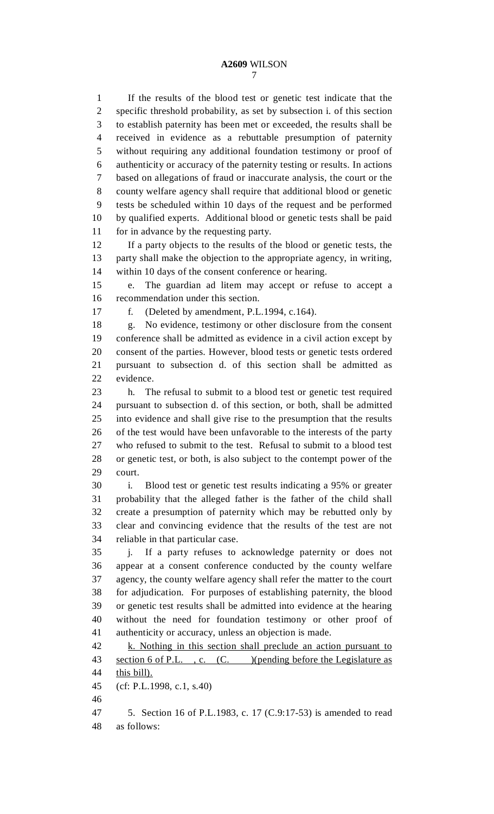1 If the results of the blood test or genetic test indicate that the 2 specific threshold probability, as set by subsection i. of this section 3 to establish paternity has been met or exceeded, the results shall be 4 received in evidence as a rebuttable presumption of paternity 5 without requiring any additional foundation testimony or proof of 6 authenticity or accuracy of the paternity testing or results. In actions 7 based on allegations of fraud or inaccurate analysis, the court or the 8 county welfare agency shall require that additional blood or genetic 9 tests be scheduled within 10 days of the request and be performed 10 by qualified experts. Additional blood or genetic tests shall be paid 11 for in advance by the requesting party.

12 If a party objects to the results of the blood or genetic tests, the 13 party shall make the objection to the appropriate agency, in writing, 14 within 10 days of the consent conference or hearing.

15 e. The guardian ad litem may accept or refuse to accept a 16 recommendation under this section.

17 f. (Deleted by amendment, P.L.1994, c.164).

18 g. No evidence, testimony or other disclosure from the consent 19 conference shall be admitted as evidence in a civil action except by 20 consent of the parties. However, blood tests or genetic tests ordered 21 pursuant to subsection d. of this section shall be admitted as 22 evidence.

23 h. The refusal to submit to a blood test or genetic test required 24 pursuant to subsection d. of this section, or both, shall be admitted 25 into evidence and shall give rise to the presumption that the results 26 of the test would have been unfavorable to the interests of the party 27 who refused to submit to the test. Refusal to submit to a blood test 28 or genetic test, or both, is also subject to the contempt power of the 29 court.

30 i. Blood test or genetic test results indicating a 95% or greater 31 probability that the alleged father is the father of the child shall 32 create a presumption of paternity which may be rebutted only by 33 clear and convincing evidence that the results of the test are not 34 reliable in that particular case.

35 j. If a party refuses to acknowledge paternity or does not 36 appear at a consent conference conducted by the county welfare 37 agency, the county welfare agency shall refer the matter to the court 38 for adjudication. For purposes of establishing paternity, the blood 39 or genetic test results shall be admitted into evidence at the hearing 40 without the need for foundation testimony or other proof of 41 authenticity or accuracy, unless an objection is made.

42 k. Nothing in this section shall preclude an action pursuant to 43 section 6 of P.L., c. (C. )(pending before the Legislature as 44 this bill).

45 (cf: P.L.1998, c.1, s.40)

46

47 5. Section 16 of P.L.1983, c. 17 (C.9:17-53) is amended to read 48 as follows: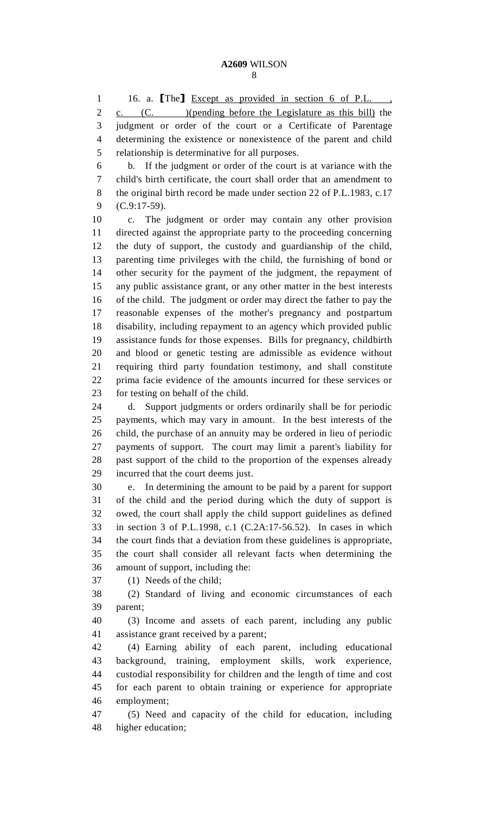1 16. a. **[The]** Except as provided in section 6 of P.L.<br>2 c. (C. ) (pending before the Legislature as this bill)  $c.$  (C. ) (pending before the Legislature as this bill) the 3 judgment or order of the court or a Certificate of Parentage 4 determining the existence or nonexistence of the parent and child 5 relationship is determinative for all purposes.

6 b. If the judgment or order of the court is at variance with the 7 child's birth certificate, the court shall order that an amendment to 8 the original birth record be made under section 22 of P.L.1983, c.17 9 (C.9:17-59).

10 c. The judgment or order may contain any other provision 11 directed against the appropriate party to the proceeding concerning 12 the duty of support, the custody and guardianship of the child, 13 parenting time privileges with the child, the furnishing of bond or 14 other security for the payment of the judgment, the repayment of 15 any public assistance grant, or any other matter in the best interests 16 of the child. The judgment or order may direct the father to pay the 17 reasonable expenses of the mother's pregnancy and postpartum 18 disability, including repayment to an agency which provided public 19 assistance funds for those expenses. Bills for pregnancy, childbirth 20 and blood or genetic testing are admissible as evidence without 21 requiring third party foundation testimony, and shall constitute 22 prima facie evidence of the amounts incurred for these services or 23 for testing on behalf of the child.

24 d. Support judgments or orders ordinarily shall be for periodic 25 payments, which may vary in amount. In the best interests of the 26 child, the purchase of an annuity may be ordered in lieu of periodic 27 payments of support. The court may limit a parent's liability for 28 past support of the child to the proportion of the expenses already 29 incurred that the court deems just.

30 e. In determining the amount to be paid by a parent for support 31 of the child and the period during which the duty of support is 32 owed, the court shall apply the child support guidelines as defined 33 in section 3 of P.L.1998, c.1 (C.2A:17-56.52). In cases in which 34 the court finds that a deviation from these guidelines is appropriate, 35 the court shall consider all relevant facts when determining the 36 amount of support, including the:

37 (1) Needs of the child;

38 (2) Standard of living and economic circumstances of each 39 parent;

40 (3) Income and assets of each parent, including any public 41 assistance grant received by a parent;

42 (4) Earning ability of each parent, including educational 43 background, training, employment skills, work experience, 44 custodial responsibility for children and the length of time and cost 45 for each parent to obtain training or experience for appropriate 46 employment;

47 (5) Need and capacity of the child for education, including 48 higher education;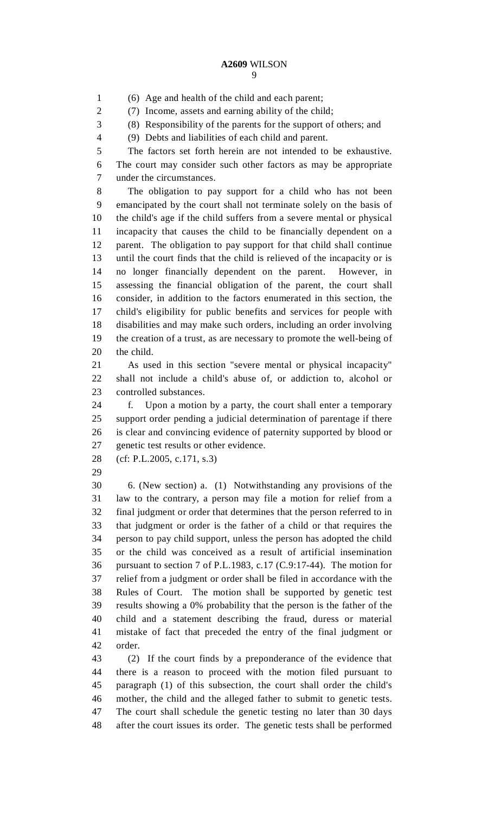1 (6) Age and health of the child and each parent;

2 (7) Income, assets and earning ability of the child;

3 (8) Responsibility of the parents for the support of others; and

4 (9) Debts and liabilities of each child and parent.

5 The factors set forth herein are not intended to be exhaustive. 6 The court may consider such other factors as may be appropriate 7 under the circumstances.

8 The obligation to pay support for a child who has not been 9 emancipated by the court shall not terminate solely on the basis of 10 the child's age if the child suffers from a severe mental or physical 11 incapacity that causes the child to be financially dependent on a 12 parent. The obligation to pay support for that child shall continue 13 until the court finds that the child is relieved of the incapacity or is 14 no longer financially dependent on the parent. However, in 15 assessing the financial obligation of the parent, the court shall 16 consider, in addition to the factors enumerated in this section, the 17 child's eligibility for public benefits and services for people with 18 disabilities and may make such orders, including an order involving 19 the creation of a trust, as are necessary to promote the well-being of 20 the child.

21 As used in this section "severe mental or physical incapacity" 22 shall not include a child's abuse of, or addiction to, alcohol or 23 controlled substances.

24 f. Upon a motion by a party, the court shall enter a temporary 25 support order pending a judicial determination of parentage if there 26 is clear and convincing evidence of paternity supported by blood or 27 genetic test results or other evidence.

- 28 (cf: P.L.2005, c.171, s.3)
- 29

30 6. (New section) a. (1) Notwithstanding any provisions of the 31 law to the contrary, a person may file a motion for relief from a 32 final judgment or order that determines that the person referred to in 33 that judgment or order is the father of a child or that requires the 34 person to pay child support, unless the person has adopted the child 35 or the child was conceived as a result of artificial insemination 36 pursuant to section 7 of P.L.1983, c.17 (C.9:17-44). The motion for 37 relief from a judgment or order shall be filed in accordance with the 38 Rules of Court. The motion shall be supported by genetic test 39 results showing a 0% probability that the person is the father of the 40 child and a statement describing the fraud, duress or material 41 mistake of fact that preceded the entry of the final judgment or 42 order.

43 (2) If the court finds by a preponderance of the evidence that 44 there is a reason to proceed with the motion filed pursuant to 45 paragraph (1) of this subsection, the court shall order the child's 46 mother, the child and the alleged father to submit to genetic tests. 47 The court shall schedule the genetic testing no later than 30 days 48 after the court issues its order. The genetic tests shall be performed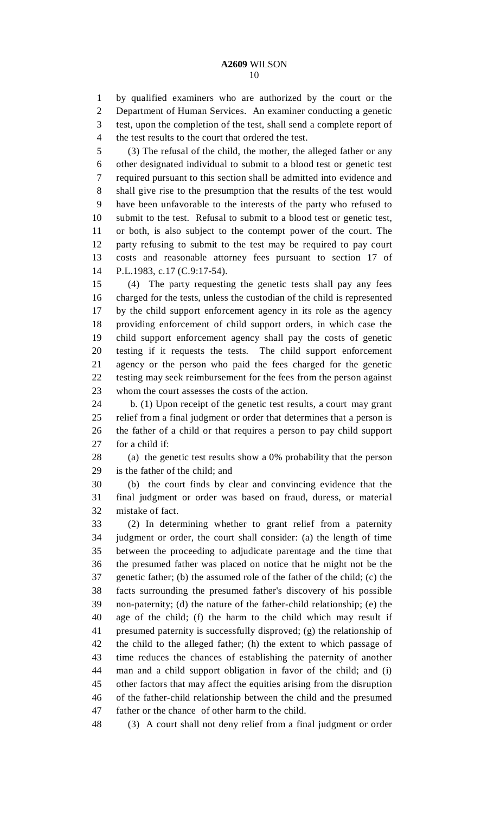1 by qualified examiners who are authorized by the court or the 2 Department of Human Services. An examiner conducting a genetic 3 test, upon the completion of the test, shall send a complete report of 4 the test results to the court that ordered the test.

5 (3) The refusal of the child, the mother, the alleged father or any 6 other designated individual to submit to a blood test or genetic test 7 required pursuant to this section shall be admitted into evidence and 8 shall give rise to the presumption that the results of the test would 9 have been unfavorable to the interests of the party who refused to 10 submit to the test. Refusal to submit to a blood test or genetic test, 11 or both, is also subject to the contempt power of the court. The 12 party refusing to submit to the test may be required to pay court 13 costs and reasonable attorney fees pursuant to section 17 of 14 P.L.1983, c.17 (C.9:17-54).

15 (4) The party requesting the genetic tests shall pay any fees 16 charged for the tests, unless the custodian of the child is represented 17 by the child support enforcement agency in its role as the agency 18 providing enforcement of child support orders, in which case the 19 child support enforcement agency shall pay the costs of genetic 20 testing if it requests the tests. The child support enforcement 21 agency or the person who paid the fees charged for the genetic 22 testing may seek reimbursement for the fees from the person against 23 whom the court assesses the costs of the action.

24 b. (1) Upon receipt of the genetic test results, a court may grant 25 relief from a final judgment or order that determines that a person is 26 the father of a child or that requires a person to pay child support 27 for a child if:

28 (a) the genetic test results show a 0% probability that the person 29 is the father of the child; and

30 (b) the court finds by clear and convincing evidence that the 31 final judgment or order was based on fraud, duress, or material 32 mistake of fact.

33 (2) In determining whether to grant relief from a paternity 34 judgment or order, the court shall consider: (a) the length of time 35 between the proceeding to adjudicate parentage and the time that 36 the presumed father was placed on notice that he might not be the 37 genetic father; (b) the assumed role of the father of the child; (c) the 38 facts surrounding the presumed father's discovery of his possible 39 non-paternity; (d) the nature of the father-child relationship; (e) the 40 age of the child; (f) the harm to the child which may result if 41 presumed paternity is successfully disproved; (g) the relationship of 42 the child to the alleged father; (h) the extent to which passage of 43 time reduces the chances of establishing the paternity of another 44 man and a child support obligation in favor of the child; and (i) 45 other factors that may affect the equities arising from the disruption 46 of the father-child relationship between the child and the presumed 47 father or the chance of other harm to the child.

48 (3) A court shall not deny relief from a final judgment or order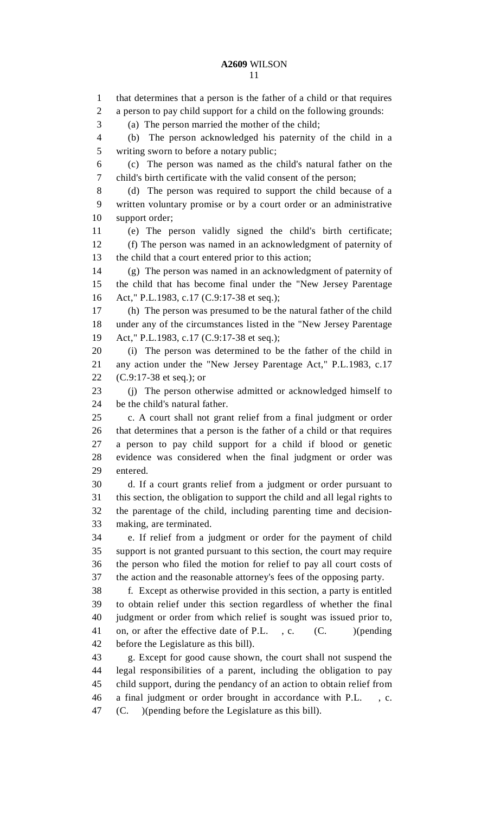1 that determines that a person is the father of a child or that requires 2 a person to pay child support for a child on the following grounds: 3 (a) The person married the mother of the child; 4 (b) The person acknowledged his paternity of the child in a 5 writing sworn to before a notary public; 6 (c) The person was named as the child's natural father on the 7 child's birth certificate with the valid consent of the person; 8 (d) The person was required to support the child because of a 9 written voluntary promise or by a court order or an administrative 10 support order; 11 (e) The person validly signed the child's birth certificate; 12 (f) The person was named in an acknowledgment of paternity of 13 the child that a court entered prior to this action; 14 (g) The person was named in an acknowledgment of paternity of 15 the child that has become final under the "New Jersey Parentage 16 Act," P.L.1983, c.17 (C.9:17-38 et seq.); 17 (h) The person was presumed to be the natural father of the child 18 under any of the circumstances listed in the "New Jersey Parentage 19 Act," P.L.1983, c.17 (C.9:17-38 et seq.); 20 (i) The person was determined to be the father of the child in 21 any action under the "New Jersey Parentage Act," P.L.1983, c.17 22 (C.9:17-38 et seq.); or 23 (j) The person otherwise admitted or acknowledged himself to 24 be the child's natural father. 25 c. A court shall not grant relief from a final judgment or order 26 that determines that a person is the father of a child or that requires 27 a person to pay child support for a child if blood or genetic 28 evidence was considered when the final judgment or order was 29 entered. 30 d. If a court grants relief from a judgment or order pursuant to 31 this section, the obligation to support the child and all legal rights to 32 the parentage of the child, including parenting time and decision-33 making, are terminated. 34 e. If relief from a judgment or order for the payment of child 35 support is not granted pursuant to this section, the court may require 36 the person who filed the motion for relief to pay all court costs of 37 the action and the reasonable attorney's fees of the opposing party. 38 f. Except as otherwise provided in this section, a party is entitled 39 to obtain relief under this section regardless of whether the final 40 judgment or order from which relief is sought was issued prior to, 41 on, or after the effective date of P.L., c. (C. )(pending 42 before the Legislature as this bill). 43 g. Except for good cause shown, the court shall not suspend the 44 legal responsibilities of a parent, including the obligation to pay 45 child support, during the pendancy of an action to obtain relief from 46 a final judgment or order brought in accordance with P.L. , c. 47 (C. )(pending before the Legislature as this bill).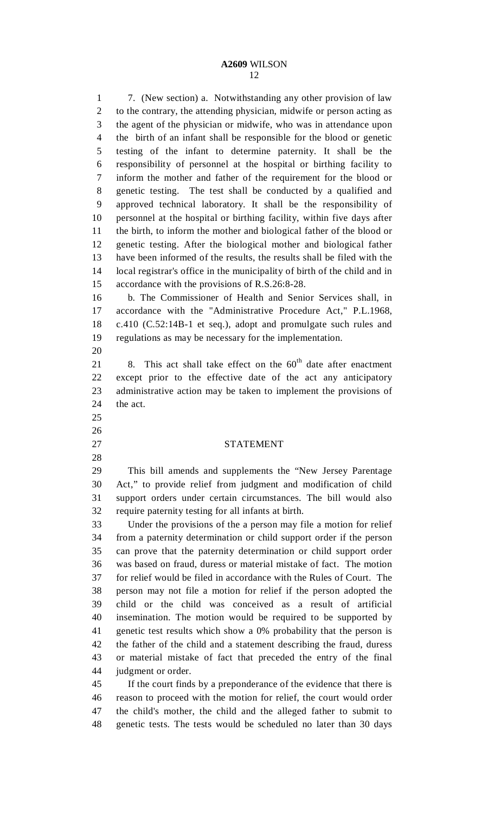1 7. (New section) a. Notwithstanding any other provision of law 2 to the contrary, the attending physician, midwife or person acting as 3 the agent of the physician or midwife, who was in attendance upon 4 the birth of an infant shall be responsible for the blood or genetic 5 testing of the infant to determine paternity. It shall be the 6 responsibility of personnel at the hospital or birthing facility to 7 inform the mother and father of the requirement for the blood or 8 genetic testing. The test shall be conducted by a qualified and 9 approved technical laboratory. It shall be the responsibility of 10 personnel at the hospital or birthing facility, within five days after 11 the birth, to inform the mother and biological father of the blood or 12 genetic testing. After the biological mother and biological father 13 have been informed of the results, the results shall be filed with the 14 local registrar's office in the municipality of birth of the child and in 15 accordance with the provisions of R.S.26:8-28.

16 b. The Commissioner of Health and Senior Services shall, in 17 accordance with the "Administrative Procedure Act," P.L.1968, 18 c.410 (C.52:14B-1 et seq.), adopt and promulgate such rules and 19 regulations as may be necessary for the implementation.

21  $\,$  8. This act shall take effect on the  $60<sup>th</sup>$  date after enactment 22 except prior to the effective date of the act any anticipatory 23 administrative action may be taken to implement the provisions of 24 the act.

20

25 26

28

#### 27 STATEMENT

29 This bill amends and supplements the "New Jersey Parentage 30 Act," to provide relief from judgment and modification of child 31 support orders under certain circumstances. The bill would also 32 require paternity testing for all infants at birth.

33 Under the provisions of the a person may file a motion for relief 34 from a paternity determination or child support order if the person 35 can prove that the paternity determination or child support order 36 was based on fraud, duress or material mistake of fact. The motion 37 for relief would be filed in accordance with the Rules of Court. The 38 person may not file a motion for relief if the person adopted the 39 child or the child was conceived as a result of artificial 40 insemination. The motion would be required to be supported by 41 genetic test results which show a 0% probability that the person is 42 the father of the child and a statement describing the fraud, duress 43 or material mistake of fact that preceded the entry of the final 44 judgment or order.

45 If the court finds by a preponderance of the evidence that there is 46 reason to proceed with the motion for relief, the court would order 47 the child's mother, the child and the alleged father to submit to 48 genetic tests. The tests would be scheduled no later than 30 days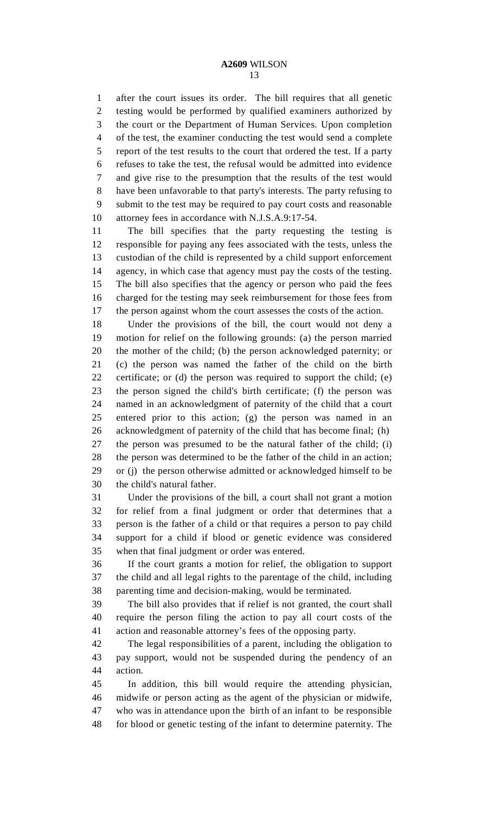1 after the court issues its order. The bill requires that all genetic 2 testing would be performed by qualified examiners authorized by 3 the court or the Department of Human Services. Upon completion 4 of the test, the examiner conducting the test would send a complete 5 report of the test results to the court that ordered the test. If a party 6 refuses to take the test, the refusal would be admitted into evidence 7 and give rise to the presumption that the results of the test would 8 have been unfavorable to that party's interests. The party refusing to 9 submit to the test may be required to pay court costs and reasonable 10 attorney fees in accordance with N.J.S.A.9:17-54.

11 The bill specifies that the party requesting the testing is 12 responsible for paying any fees associated with the tests, unless the 13 custodian of the child is represented by a child support enforcement 14 agency, in which case that agency must pay the costs of the testing. 15 The bill also specifies that the agency or person who paid the fees 16 charged for the testing may seek reimbursement for those fees from 17 the person against whom the court assesses the costs of the action.

18 Under the provisions of the bill, the court would not deny a 19 motion for relief on the following grounds: (a) the person married 20 the mother of the child; (b) the person acknowledged paternity; or 21 (c) the person was named the father of the child on the birth 22 certificate; or (d) the person was required to support the child; (e) 23 the person signed the child's birth certificate; (f) the person was 24 named in an acknowledgment of paternity of the child that a court 25 entered prior to this action; (g) the person was named in an 26 acknowledgment of paternity of the child that has become final; (h) 27 the person was presumed to be the natural father of the child; (i) 28 the person was determined to be the father of the child in an action; 29 or (j) the person otherwise admitted or acknowledged himself to be 30 the child's natural father.

31 Under the provisions of the bill, a court shall not grant a motion 32 for relief from a final judgment or order that determines that a 33 person is the father of a child or that requires a person to pay child 34 support for a child if blood or genetic evidence was considered 35 when that final judgment or order was entered.

36 If the court grants a motion for relief, the obligation to support 37 the child and all legal rights to the parentage of the child, including 38 parenting time and decision-making, would be terminated.

39 The bill also provides that if relief is not granted, the court shall 40 require the person filing the action to pay all court costs of the 41 action and reasonable attorney's fees of the opposing party.

42 The legal responsibilities of a parent, including the obligation to 43 pay support, would not be suspended during the pendency of an 44 action.

45 In addition, this bill would require the attending physician, 46 midwife or person acting as the agent of the physician or midwife, 47 who was in attendance upon the birth of an infant to be responsible 48 for blood or genetic testing of the infant to determine paternity. The